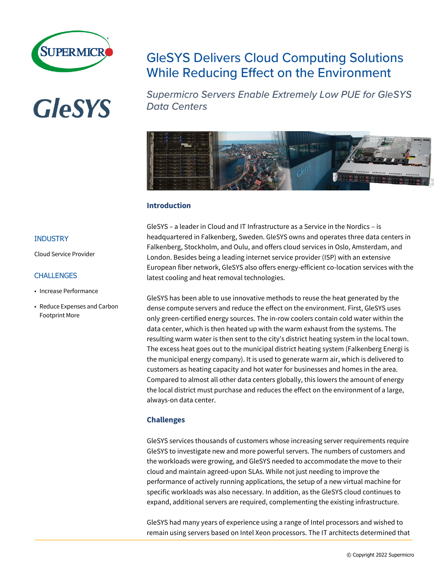

# **GleSYS**

# **GleSYS Delivers Cloud Computing Solutions While Reducing Effect on the Environment**

**Supermicro Servers Enable Extremely Low PUE for GleSYS Data Centers** 



# **Introduction**

GleSYS – a leader in Cloud and IT Infrastructure as a Service in the Nordics – is headquartered in Falkenberg, Sweden. GleSYS owns and operates three data centers in Falkenberg, Stockholm, and Oulu, and offers cloud services in Oslo, Amsterdam, and London. Besides being a leading internet service provider (ISP) with an extensive European fiber network, GleSYS also offers energy-efficient co-location services with the latest cooling and heat removal technologies.

GleSYS has been able to use innovative methods to reuse the heat generated by the dense compute servers and reduce the effect on the environment. First, GleSYS uses only green-certified energy sources. The in-row coolers contain cold water within the data center, which is then heated up with the warm exhaust from the systems. The resulting warm water is then sent to the city's district heating system in the local town. The excess heat goes out to the municipal district heating system (Falkenberg Energi is the municipal energy company). It is used to generate warm air, which is delivered to customers as heating capacity and hot water for businesses and homes in the area. Compared to almost all other data centers globally, this lowers the amount of energy the local district must purchase and reduces the effect on the environment of a large, always-on data center.

# **Challenges**

GleSYS services thousands of customers whose increasing server requirements require GleSYS to investigate new and more powerful servers. The numbers of customers and the workloads were growing, and GleSYS needed to accommodate the move to their cloud and maintain agreed-upon SLAs. While not just needing to improve the performance of actively running applications, the setup of a new virtual machine for specific workloads was also necessary. In addition, as the GleSYS cloud continues to expand, additional servers are required, complementing the existing infrastructure.

GleSYS had many years of experience using a range of Intel processors and wished to remain using servers based on Intel Xeon processors. The IT architects determined that

## **INDUSTRY**

Cloud Service Provider

#### CHALLENGES

- Increase Performance
- Reduce Expenses and Carbon Footprint More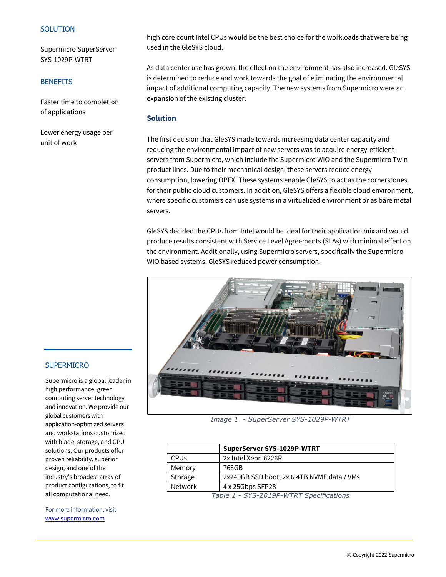#### **SOLUTION**

Supermicro SuperServer SYS-1029P-WTRT

#### **BENEFITS**

Faster time to completion of applications

Lower energy usage per unit of work

high core count Intel CPUs would be the best choice for the workloads that were being used in the GleSYS cloud.

As data center use has grown, the effect on the environment has also increased. GleSYS is determined to reduce and work towards the goal of eliminating the environmental impact of additional computing capacity. The new systems from Supermicro were an expansion of the existing cluster.

#### **Solution**

The first decision that GleSYS made towards increasing data center capacity and reducing the environmental impact of new servers was to acquire energy-efficient servers from Supermicro, which include the Supermicro WIO and the Supermicro Twin product lines. Due to their mechanical design, these servers reduce energy consumption, lowering OPEX. These systems enable GleSYS to act as the cornerstones for their public cloud customers. In addition, GleSYS offers a flexible cloud environment, where specific customers can use systems in a virtualized environment or as bare metal servers.

GleSYS decided the CPUs from Intel would be ideal for their application mix and would produce results consistent with Service Level Agreements (SLAs) with minimal effect on the environment. Additionally, using Supermicro servers, specifically the Supermicro WIO based systems, GleSYS reduced power consumption.



*Image 1 - SuperServer SYS-1029P-WTRT*

|                                                 | SuperServer SYS-1029P-WTRT                 |
|-------------------------------------------------|--------------------------------------------|
| <b>CPU<sub>s</sub></b>                          | 2x Intel Xeon 6226R                        |
| Memory                                          | 768GB                                      |
| Storage                                         | 2x240GB SSD boot, 2x 6.4TB NVME data / VMs |
| <b>Network</b>                                  | 4 x 25Gbps SFP28                           |
| $T_2$ ble 1 - $CVC$ -2010D-INTDT Cnecifications |                                            |

*Table 1 - SYS-2019P-WTRT Specifications*

# **SUPERMICRO**

Supermicro is a global leader in high performance, green computing server technology and innovation. We provide our global customers with application-optimized servers and workstations customized with blade, storage, and GPU solutions. Our products offer proven reliability, superior design, and one of the industry's broadest array of product configurations, to fit all computational need.

For more information, visit [www.supermicro.com](http://www.supermicro.com/)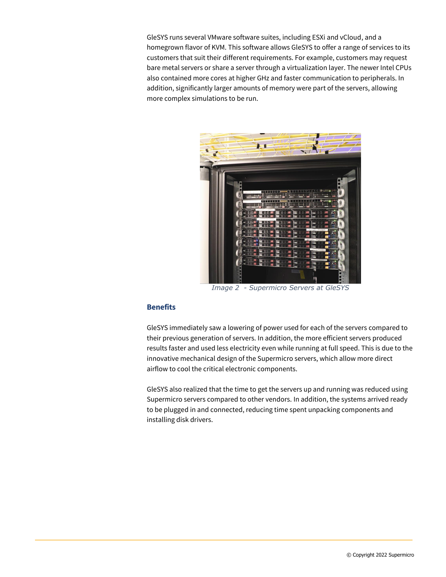GleSYS runs several VMware software suites, including ESXi and vCloud, and a homegrown flavor of KVM. This software allows GleSYS to offer a range of services to its customers that suit their different requirements. For example, customers may request bare metal servers or share a server through a virtualization layer. The newer Intel CPUs also contained more cores at higher GHz and faster communication to peripherals. In addition, significantly larger amounts of memory were part of the servers, allowing more complex simulations to be run.



*Image 2 - Supermicro Servers at GleSYS*

## **Benefits**

GleSYS immediately saw a lowering of power used for each of the servers compared to their previous generation of servers. In addition, the more efficient servers produced results faster and used less electricity even while running at full speed. This is due to the innovative mechanical design of the Supermicro servers, which allow more direct airflow to cool the critical electronic components.

GleSYS also realized that the time to get the servers up and running was reduced using Supermicro servers compared to other vendors. In addition, the systems arrived ready to be plugged in and connected, reducing time spent unpacking components and installing disk drivers.